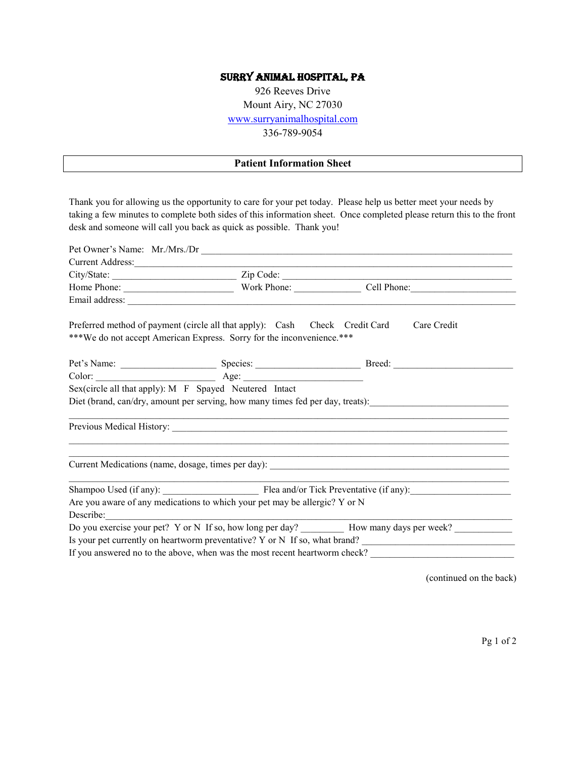## Surry Animal Hospital, PA

926 Reeves Drive Mount Airy, NC 27030 [www.surryanimalhospital.com](http://www.surryanimalhospital.com/) 336-789-9054

## **Patient Information Sheet**

Thank you for allowing us the opportunity to care for your pet today. Please help us better meet your needs by taking a few minutes to complete both sides of this information sheet. Once completed please return this to the front desk and someone will call you back as quick as possible. Thank you!

| Current Address:                                                                                          |  |                                                                                                                     |  |  |
|-----------------------------------------------------------------------------------------------------------|--|---------------------------------------------------------------------------------------------------------------------|--|--|
|                                                                                                           |  |                                                                                                                     |  |  |
|                                                                                                           |  |                                                                                                                     |  |  |
|                                                                                                           |  |                                                                                                                     |  |  |
| Preferred method of payment (circle all that apply): Cash Check Credit Card                               |  | Care Credit                                                                                                         |  |  |
| ***We do not accept American Express. Sorry for the inconvenience.***                                     |  |                                                                                                                     |  |  |
|                                                                                                           |  |                                                                                                                     |  |  |
|                                                                                                           |  |                                                                                                                     |  |  |
| Sex(circle all that apply): M F Spayed Neutered Intact                                                    |  |                                                                                                                     |  |  |
|                                                                                                           |  | Diet (brand, can/dry, amount per serving, how many times fed per day, treats): _______________________________      |  |  |
|                                                                                                           |  |                                                                                                                     |  |  |
|                                                                                                           |  | <u> 1989 - Johann John Stone, meny ambany amin'ny fivondronan-kaominin'i Paris (no ben'ny faritr'i Nord-Amerika</u> |  |  |
| Shampoo Used (if any): Flea and/or Tick Preventative (if any):                                            |  |                                                                                                                     |  |  |
| Are you aware of any medications to which your pet may be allergic? Y or N                                |  |                                                                                                                     |  |  |
| Describe:                                                                                                 |  |                                                                                                                     |  |  |
| Do you exercise your pet? Y or N If so, how long per day? __________ How many days per week? ____________ |  |                                                                                                                     |  |  |
| Is your pet currently on heartworm preventative? Y or N If so, what brand?                                |  |                                                                                                                     |  |  |
|                                                                                                           |  |                                                                                                                     |  |  |

(continued on the back)